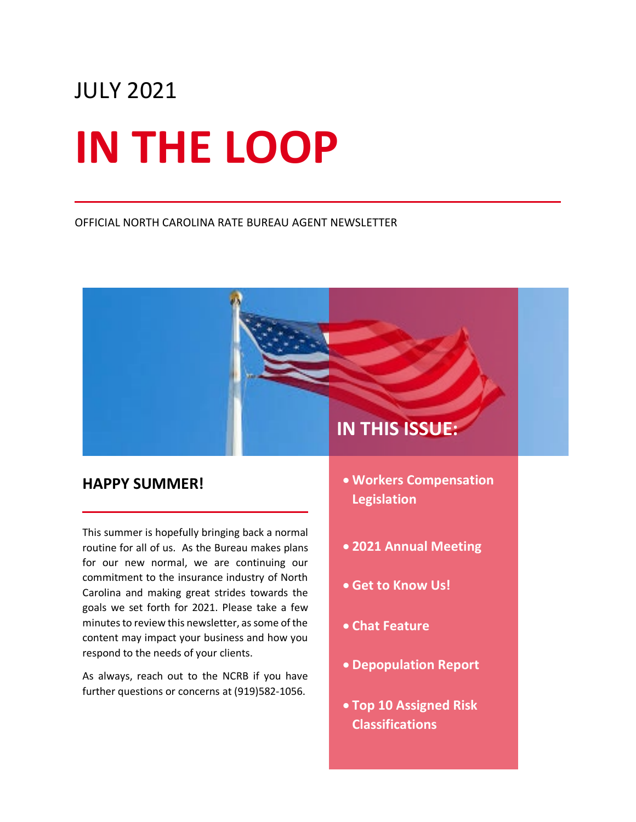# JULY 2021 **IN THE LOOP**

#### OFFICIAL NORTH CAROLINA RATE BUREAU AGENT NEWSLETTER

## **IN THIS ISSUE:**

#### **HAPPY SUMMER!**

This summer is hopefully bringing back a normal routine for all of us. As the Bureau makes plans for our new normal, we are continuing our commitment to the insurance industry of North Carolina and making great strides towards the goals we set forth for 2021. Please take a few minutes to review this newsletter, as some of the content may impact your business and how you respond to the needs of your clients.

As always, reach out to the NCRB if you have further questions or concerns at (919)582-1056.

- **Workers Compensation Legislation**
- **2021 Annual Meeting**
- **Get to Know Us!**
- **Chat Feature**
- **Depopulation Report**
- **Top 10 Assigned Risk Classifications**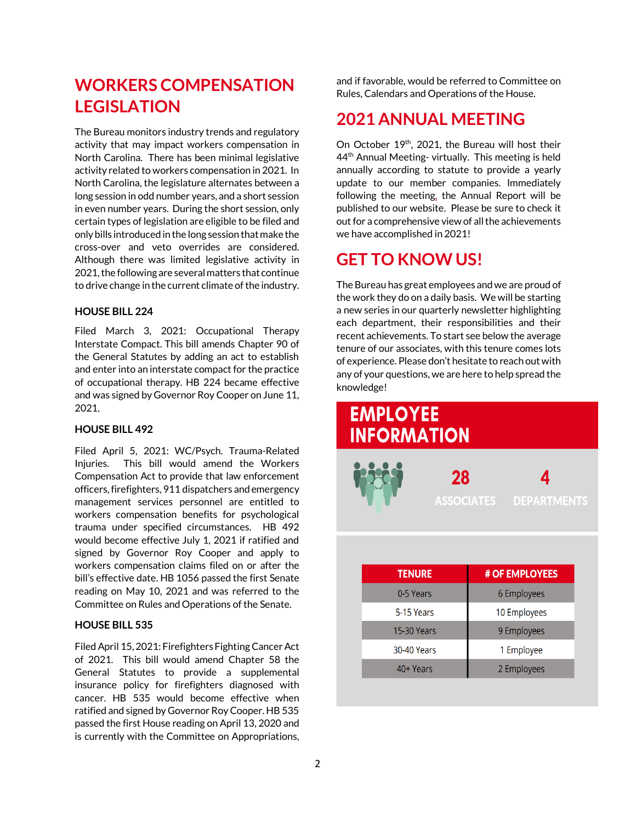## **WORKERS COMPENSATION LEGISLATION**

The Bureau monitors industry trends and regulatory activity that may impact workers compensation in North Carolina. There has been minimal legislative activity related to workers compensation in 2021. In North Carolina, the legislature alternates between a long session in odd number years, and a short session in even number years. During the short session, only certain types of legislation are eligible to be filed and only bills introduced in the long session that make the cross-over and veto overrides are considered. Although there was limited legislative activity in 2021, the following are several matters that continue to drive change in the current climate of the industry.

#### **HOUSE BILL 224**

Filed March 3, 2021: Occupational Therapy Interstate Compact. This bill amends Chapter 90 of the General Statutes by adding an act to establish and enter into an interstate compact for the practice of occupational therapy. HB 224 became effective and was signed by Governor Roy Cooper on June 11, 2021.

#### **HOUSE BILL 492**

Filed April 5, 2021: WC/Psych. Trauma-Related Injuries. This bill would amend the Workers Compensation Act to provide that law enforcement officers, firefighters, 911 dispatchers and emergency management services personnel are entitled to workers compensation benefits for psychological trauma under specified circumstances. HB 492 would become effective July 1, 2021 if ratified and signed by Governor Roy Cooper and apply to workers compensation claims filed on or after the bill's effective date. HB 1056 passed the first Senate reading on May 10, 2021 and was referred to the Committee on Rules and Operations of the Senate.

#### **HOUSE BILL 535**

Filed April 15, 2021: Firefighters Fighting Cancer Act of 2021. This bill would amend Chapter 58 the General Statutes to provide a supplemental insurance policy for firefighters diagnosed with cancer. HB 535 would become effective when ratified and signed by Governor Roy Cooper. HB 535 passed the first House reading on April 13, 2020 and is currently with the Committee on Appropriations,

and if favorable, would be referred to Committee on Rules, Calendars and Operations of the House.

## **2021 ANNUAL MEETING**

On October 19<sup>th</sup>, 2021, the Bureau will host their 44<sup>th</sup> Annual Meeting- virtually. This meeting is held annually according to statute to provide a yearly update to our member companies. Immediately following the meeting, the Annual Report will be published to our website. Please be sure to check it out for a comprehensive view of all the achievements we have accomplished in 2021!

### **GET TO KNOW US!**

The Bureau has great employees and we are proud of the work they do on a daily basis. We will be starting a new series in our quarterly newsletter highlighting each department, their responsibilities and their recent achievements. To start see below the average tenure of our associates, with this tenure comes lots of experience. Please don't hesitate to reach out with any of your questions, we are here to help spread the knowledge!

| <b>EMPLOYEE</b><br><b>INFORMATION</b> |                                          |
|---------------------------------------|------------------------------------------|
|                                       | 28<br>4<br><b>ASSOCIATES DEPARTMENTS</b> |
|                                       |                                          |
| <b>TENURE</b>                         | # OF EMPLOYEES                           |
| 0-5 Years                             | 6 Employees                              |
| 5-15 Years                            | 10 Employees                             |
| <b>15-30 Years</b>                    | 9 Employees                              |
| <b>30-40 Years</b>                    | 1 Employee                               |
| 40+ Years                             | 2 Employees                              |
|                                       |                                          |